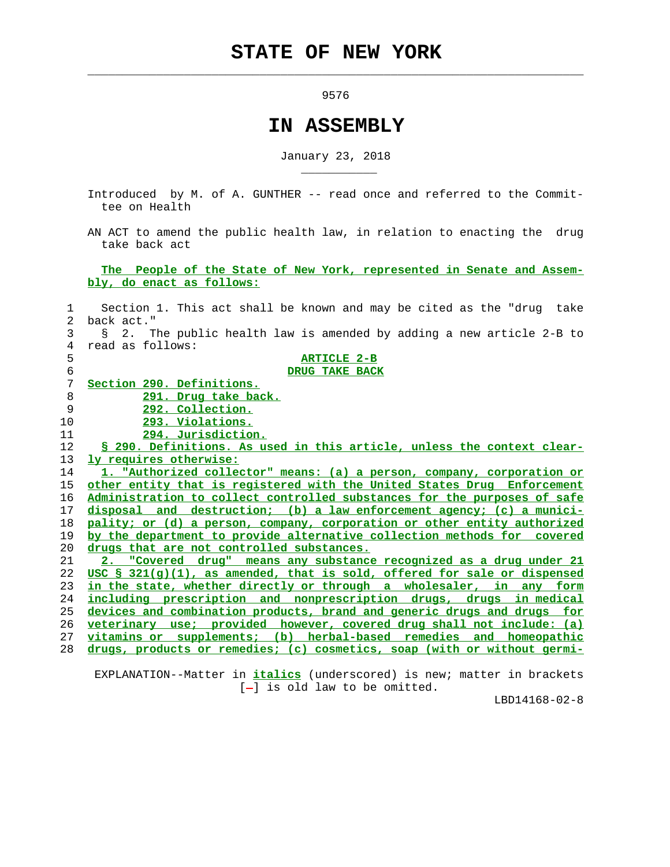$\mathcal{L}_\text{max} = \frac{1}{2} \sum_{i=1}^{n} \frac{1}{2} \sum_{i=1}^{n} \frac{1}{2} \sum_{i=1}^{n} \frac{1}{2} \sum_{i=1}^{n} \frac{1}{2} \sum_{i=1}^{n} \frac{1}{2} \sum_{i=1}^{n} \frac{1}{2} \sum_{i=1}^{n} \frac{1}{2} \sum_{i=1}^{n} \frac{1}{2} \sum_{i=1}^{n} \frac{1}{2} \sum_{i=1}^{n} \frac{1}{2} \sum_{i=1}^{n} \frac{1}{2} \sum_{i=1}^{n} \frac{1$ 

9576

## **IN ASSEMBLY**

January 23, 2018

 Introduced by M. of A. GUNTHER -- read once and referred to the Commit tee on Health

 AN ACT to amend the public health law, in relation to enacting the drug take back act

 **The People of the State of New York, represented in Senate and Assem bly, do enact as follows:**

| 1  | Section 1. This act shall be known and may be cited as the "drug take                  |
|----|----------------------------------------------------------------------------------------|
| 2  | back act."                                                                             |
| 3  | The public health law is amended by adding a new article 2-B to<br>2.<br>$\mathcal{S}$ |
| 4  | read as follows:                                                                       |
| 5  | <b>ARTICLE 2-B</b>                                                                     |
| 6  | DRUG TAKE BACK                                                                         |
| 7  | Section 290. Definitions.                                                              |
| 8  | 291. Drug take back.                                                                   |
| 9  | 292. Collection.                                                                       |
| 10 | 293. Violations.                                                                       |
| 11 | 294. Jurisdiction.                                                                     |
| 12 | § 290. Definitions. As used in this article, unless the context clear-                 |
| 13 | ly requires otherwise:                                                                 |
| 14 | 1. "Authorized collector" means: (a) a person, company, corporation or                 |
| 15 | other entity that is registered with the United States Drug Enforcement                |
| 16 | Administration to collect controlled substances for the purposes of safe               |
| 17 | disposal and destruction; (b) a law enforcement agency; (c) a munici-                  |
| 18 | pality; or (d) a person, company, corporation or other entity authorized               |
| 19 | by the department to provide alternative collection methods for covered                |
| 20 | drugs that are not controlled substances.                                              |
| 21 | 2. "Covered drug" means any substance recognized as a drug under 21                    |
| 22 | USC $\S$ 321(q)(1), as amended, that is sold, offered for sale or dispensed            |
| 23 | in the state, whether directly or through a wholesaler, in any form                    |
| 24 | including prescription and nonprescription drugs, drugs in medical                     |
| 25 | devices and combination products, brand and generic drugs and drugs for                |
| 26 | veterinary use; provided however, covered drug shall not include: (a)                  |
| 27 | vitamins or supplements; (b) herbal-based remedies and homeopathic                     |
| 28 | drugs, products or remedies; (c) cosmetics, soap (with or without germi-               |
|    |                                                                                        |

 EXPLANATION--Matter in **italics** (underscored) is new; matter in brackets [-] is old law to be omitted.

LBD14168-02-8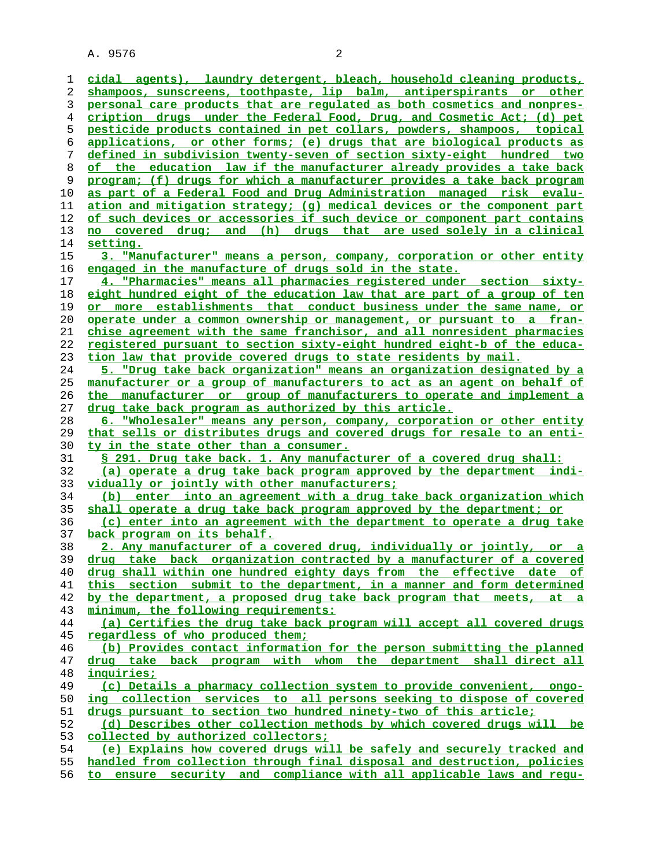A. 9576 2

**cidal agents), laundry detergent, bleach, household cleaning products, shampoos, sunscreens, toothpaste, lip balm, antiperspirants or other personal care products that are regulated as both cosmetics and nonpres- cription drugs under the Federal Food, Drug, and Cosmetic Act; (d) pet pesticide products contained in pet collars, powders, shampoos, topical applications, or other forms; (e) drugs that are biological products as defined in subdivision twenty-seven of section sixty-eight hundred two of the education law if the manufacturer already provides a take back program; (f) drugs for which a manufacturer provides a take back program as part of a Federal Food and Drug Administration managed risk evalu- ation and mitigation strategy; (g) medical devices or the component part of such devices or accessories if such device or component part contains no covered drug; and (h) drugs that are used solely in a clinical setting. 3. "Manufacturer" means a person, company, corporation or other entity engaged in the manufacture of drugs sold in the state. 4. "Pharmacies" means all pharmacies registered under section sixty- eight hundred eight of the education law that are part of a group of ten or more establishments that conduct business under the same name, or operate under a common ownership or management, or pursuant to a fran- chise agreement with the same franchisor, and all nonresident pharmacies registered pursuant to section sixty-eight hundred eight-b of the educa- tion law that provide covered drugs to state residents by mail. 5. "Drug take back organization" means an organization designated by a manufacturer or a group of manufacturers to act as an agent on behalf of the manufacturer or group of manufacturers to operate and implement a drug take back program as authorized by this article. 6. "Wholesaler" means any person, company, corporation or other entity that sells or distributes drugs and covered drugs for resale to an enti- ty in the state other than a consumer. § 291. Drug take back. 1. Any manufacturer of a covered drug shall: (a) operate a drug take back program approved by the department indi- vidually or jointly with other manufacturers; (b) enter into an agreement with a drug take back organization which shall operate a drug take back program approved by the department; or (c) enter into an agreement with the department to operate a drug take back program on its behalf. 2. Any manufacturer of a covered drug, individually or jointly, or a drug take back organization contracted by a manufacturer of a covered drug shall within one hundred eighty days from the effective date of this section submit to the department, in a manner and form determined by the department, a proposed drug take back program that meets, at a minimum, the following requirements: (a) Certifies the drug take back program will accept all covered drugs regardless of who produced them; (b) Provides contact information for the person submitting the planned drug take back program with whom the department shall direct all inquiries; (c) Details a pharmacy collection system to provide convenient, ongo- ing collection services to all persons seeking to dispose of covered drugs pursuant to section two hundred ninety-two of this article; (d) Describes other collection methods by which covered drugs will be collected by authorized collectors; (e) Explains how covered drugs will be safely and securely tracked and handled from collection through final disposal and destruction, policies to ensure security and compliance with all applicable laws and regu-**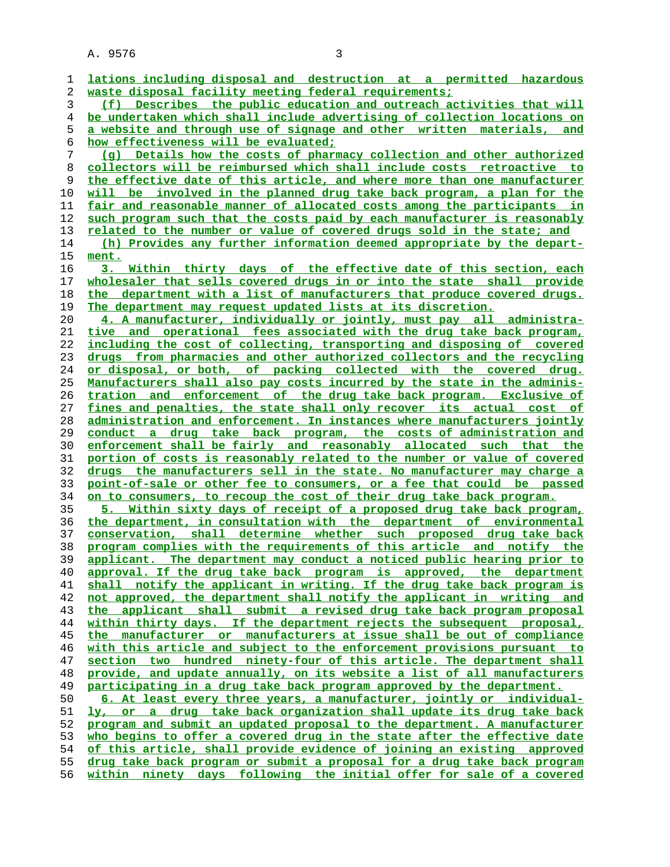A. 9576 3

**lations including disposal and destruction at a permitted hazardous waste disposal facility meeting federal requirements; (f) Describes the public education and outreach activities that will be undertaken which shall include advertising of collection locations on a website and through use of signage and other written materials, and how effectiveness will be evaluated; (g) Details how the costs of pharmacy collection and other authorized collectors will be reimbursed which shall include costs retroactive to the effective date of this article, and where more than one manufacturer will be involved in the planned drug take back program, a plan for the fair and reasonable manner of allocated costs among the participants in such program such that the costs paid by each manufacturer is reasonably related to the number or value of covered drugs sold in the state; and (h) Provides any further information deemed appropriate by the depart- ment. 3. Within thirty days of the effective date of this section, each wholesaler that sells covered drugs in or into the state shall provide the department with a list of manufacturers that produce covered drugs. The department may request updated lists at its discretion. 4. A manufacturer, individually or jointly, must pay all administra- tive and operational fees associated with the drug take back program, including the cost of collecting, transporting and disposing of covered drugs from pharmacies and other authorized collectors and the recycling or disposal, or both, of packing collected with the covered drug. Manufacturers shall also pay costs incurred by the state in the adminis- tration and enforcement of the drug take back program. Exclusive of fines and penalties, the state shall only recover its actual cost of administration and enforcement. In instances where manufacturers jointly conduct a drug take back program, the costs of administration and enforcement shall be fairly and reasonably allocated such that the portion of costs is reasonably related to the number or value of covered drugs the manufacturers sell in the state. No manufacturer may charge a point-of-sale or other fee to consumers, or a fee that could be passed on to consumers, to recoup the cost of their drug take back program. 5. Within sixty days of receipt of a proposed drug take back program, the department, in consultation with the department of environmental conservation, shall determine whether such proposed drug take back program complies with the requirements of this article and notify the applicant. The department may conduct a noticed public hearing prior to approval. If the drug take back program is approved, the department shall notify the applicant in writing. If the drug take back program is not approved, the department shall notify the applicant in writing and the applicant shall submit a revised drug take back program proposal within thirty days. If the department rejects the subsequent proposal, the manufacturer or manufacturers at issue shall be out of compliance with this article and subject to the enforcement provisions pursuant to section two hundred ninety-four of this article. The department shall provide, and update annually, on its website a list of all manufacturers participating in a drug take back program approved by the department. 6. At least every three years, a manufacturer, jointly or individual- ly, or a drug take back organization shall update its drug take back program and submit an updated proposal to the department. A manufacturer who begins to offer a covered drug in the state after the effective date of this article, shall provide evidence of joining an existing approved drug take back program or submit a proposal for a drug take back program within ninety days following the initial offer for sale of a covered**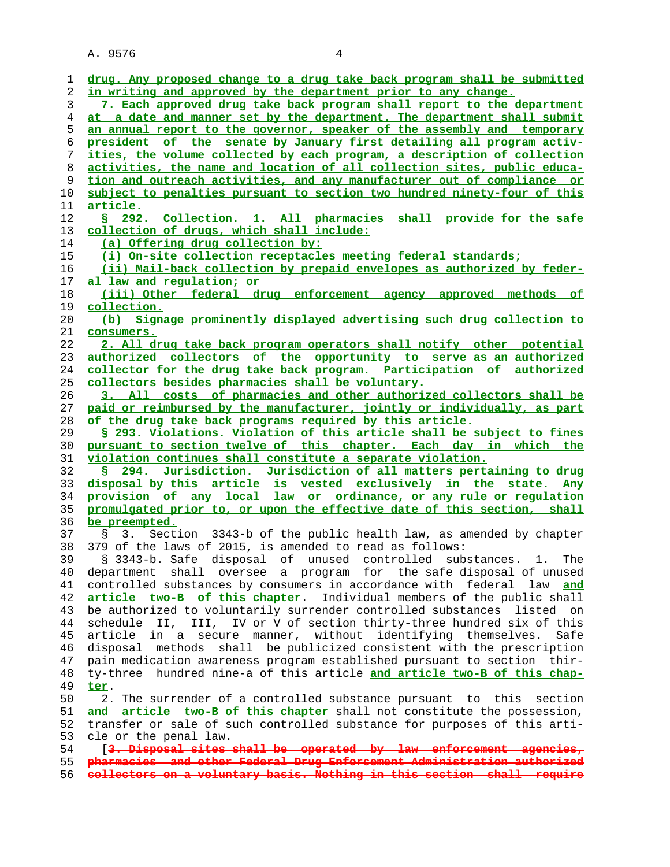A. 9576 4

| in writing and approved by the department prior to any change.<br>7. Each approved drug take back program shall report to the department<br>at a date and manner set by the department. The department shall submit |
|---------------------------------------------------------------------------------------------------------------------------------------------------------------------------------------------------------------------|
|                                                                                                                                                                                                                     |
|                                                                                                                                                                                                                     |
|                                                                                                                                                                                                                     |
| an annual report to the governor, speaker of the assembly and temporary                                                                                                                                             |
| president of the senate by January first detailing all program activ-                                                                                                                                               |
| ities, the volume collected by each program, a description of collection                                                                                                                                            |
| activities, the name and location of all collection sites, public educa-                                                                                                                                            |
| tion and outreach activities, and any manufacturer out of compliance or                                                                                                                                             |
| subject to penalties pursuant to section two hundred ninety-four of this                                                                                                                                            |
| <u>article.</u>                                                                                                                                                                                                     |
| § 292. Collection. 1. All pharmacies shall provide for the safe                                                                                                                                                     |
| collection of drugs, which shall include:                                                                                                                                                                           |
| (a) Offering drug collection by:                                                                                                                                                                                    |
| (i) On-site collection receptacles meeting federal standards;                                                                                                                                                       |
| (ii) Mail-back collection by prepaid envelopes as authorized by feder-                                                                                                                                              |
| <u>al law and regulation; or</u>                                                                                                                                                                                    |
| (iii) Other federal drug enforcement agency approved methods of                                                                                                                                                     |
| collection.                                                                                                                                                                                                         |
| (b) Signage prominently displayed advertising such drug collection to                                                                                                                                               |
| consumers.                                                                                                                                                                                                          |
| 2. All drug take back program operators shall notify other potential                                                                                                                                                |
| authorized collectors of the opportunity to serve as an authorized                                                                                                                                                  |
| collector for the drug take back program. Participation of authorized                                                                                                                                               |
| collectors besides pharmacies shall be voluntary.                                                                                                                                                                   |
| 3. All costs of pharmacies and other authorized collectors shall be                                                                                                                                                 |
| paid or reimbursed by the manufacturer, jointly or individually, as part                                                                                                                                            |
| of the drug take back programs required by this article.                                                                                                                                                            |
| \$ 293. Violations. Violation of this article shall be subject to fines                                                                                                                                             |
| pursuant to section twelve of this chapter. Each day in which the                                                                                                                                                   |
|                                                                                                                                                                                                                     |
| violation continues shall constitute a separate violation.                                                                                                                                                          |
| § 294. Jurisdiction. Jurisdiction of all matters pertaining to drug                                                                                                                                                 |
| disposal by this article is vested exclusively in the state. Any                                                                                                                                                    |
| provision of any local law or ordinance, or any rule or regulation                                                                                                                                                  |
| promulgated prior to, or upon the effective date of this section, shall                                                                                                                                             |
| be preempted.                                                                                                                                                                                                       |
| Section 3343-b of the public health law, as amended by chapter<br>3.<br>S                                                                                                                                           |
| 379 of the laws of 2015, is amended to read as follows:                                                                                                                                                             |
| § 3343-b. Safe disposal of unused controlled substances.<br>1.<br>The                                                                                                                                               |
| department shall oversee a program for the safe disposal of unused                                                                                                                                                  |
| controlled substances by consumers in accordance with federal law and                                                                                                                                               |
| article two-B of this chapter. Individual members of the public shall                                                                                                                                               |
| be authorized to voluntarily surrender controlled substances listed on                                                                                                                                              |
| II, III, IV or V of section thirty-three hundred six of this<br>schedule                                                                                                                                            |
| article<br>in a secure manner, without identifying themselves.<br>Safe                                                                                                                                              |
| disposal methods shall be publicized consistent with the prescription                                                                                                                                               |
| pain medication awareness program established pursuant to section thir-                                                                                                                                             |
| ty-three hundred nine-a of this article and article two-B of this chap-                                                                                                                                             |
| ter.                                                                                                                                                                                                                |
| 2. The surrender of a controlled substance pursuant to this section                                                                                                                                                 |
| and article two-B of this chapter shall not constitute the possession,                                                                                                                                              |
| transfer or sale of such controlled substance for purposes of this arti-                                                                                                                                            |
| cle or the penal law.<br>[3. Disposal sites shall be operated by law enforsement agencies,                                                                                                                          |
| pharmacies and other Federal Drug Enforcement Administration authorized                                                                                                                                             |
|                                                                                                                                                                                                                     |